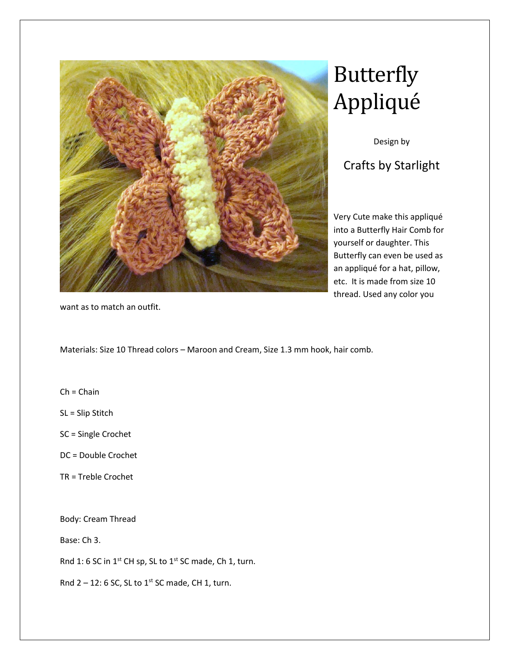

## Butterfly Appliqué

Design by

Crafts by Starlight

Very Cute make this appliqué into a Butterfly Hair Comb for yourself or daughter. This Butterfly can even be used as an appliqué for a hat, pillow, etc. It is made from size 10 thread. Used any color you

want as to match an outfit.

Materials: Size 10 Thread colors – Maroon and Cream, Size 1.3 mm hook, hair comb.

 $Ch = Chain$ 

SL = Slip Stitch

SC = Single Crochet

DC = Double Crochet

TR = Treble Crochet

Body: Cream Thread

Base: Ch 3.

Rnd 1: 6 SC in 1<sup>st</sup> CH sp, SL to 1<sup>st</sup> SC made, Ch 1, turn.

Rnd  $2 - 12$ : 6 SC, SL to 1st SC made, CH 1, turn.